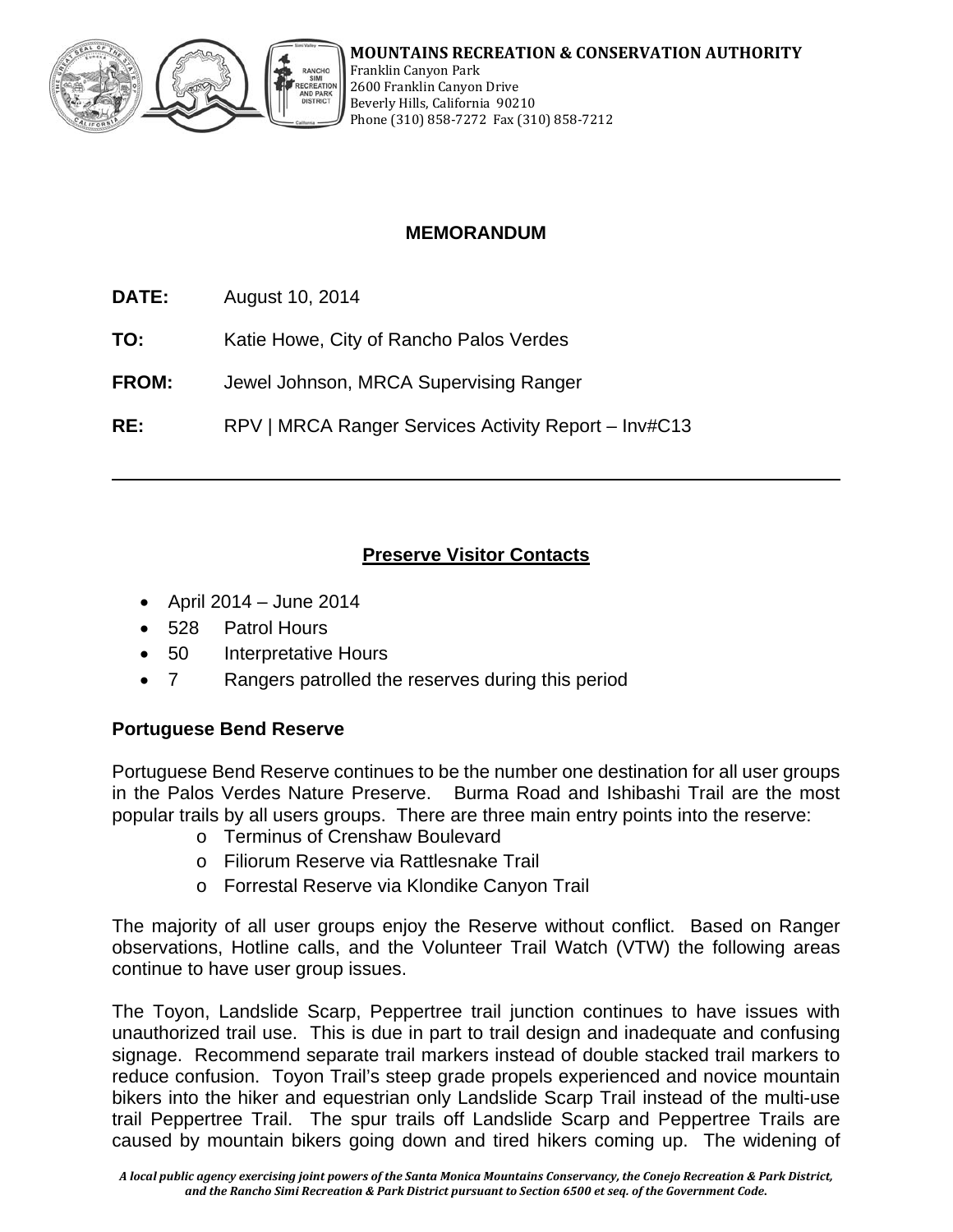

# **MEMORANDUM**

**DATE:** August 10, 2014

**TO:** Katie Howe, City of Rancho Palos Verdes

**FROM:** Jewel Johnson, MRCA Supervising Ranger

**RE:** RPV | MRCA Ranger Services Activity Report – Inv#C13

# **Preserve Visitor Contacts**

- April 2014 June 2014
- 528 Patrol Hours
- 50 Interpretative Hours
- 7 Rangers patrolled the reserves during this period

## **Portuguese Bend Reserve**

Portuguese Bend Reserve continues to be the number one destination for all user groups in the Palos Verdes Nature Preserve. Burma Road and Ishibashi Trail are the most popular trails by all users groups. There are three main entry points into the reserve:

- o Terminus of Crenshaw Boulevard
- o Filiorum Reserve via Rattlesnake Trail
- o Forrestal Reserve via Klondike Canyon Trail

The majority of all user groups enjoy the Reserve without conflict. Based on Ranger observations, Hotline calls, and the Volunteer Trail Watch (VTW) the following areas continue to have user group issues.

The Toyon, Landslide Scarp, Peppertree trail junction continues to have issues with unauthorized trail use. This is due in part to trail design and inadequate and confusing signage. Recommend separate trail markers instead of double stacked trail markers to reduce confusion. Toyon Trail's steep grade propels experienced and novice mountain bikers into the hiker and equestrian only Landslide Scarp Trail instead of the multi-use trail Peppertree Trail. The spur trails off Landslide Scarp and Peppertree Trails are caused by mountain bikers going down and tired hikers coming up. The widening of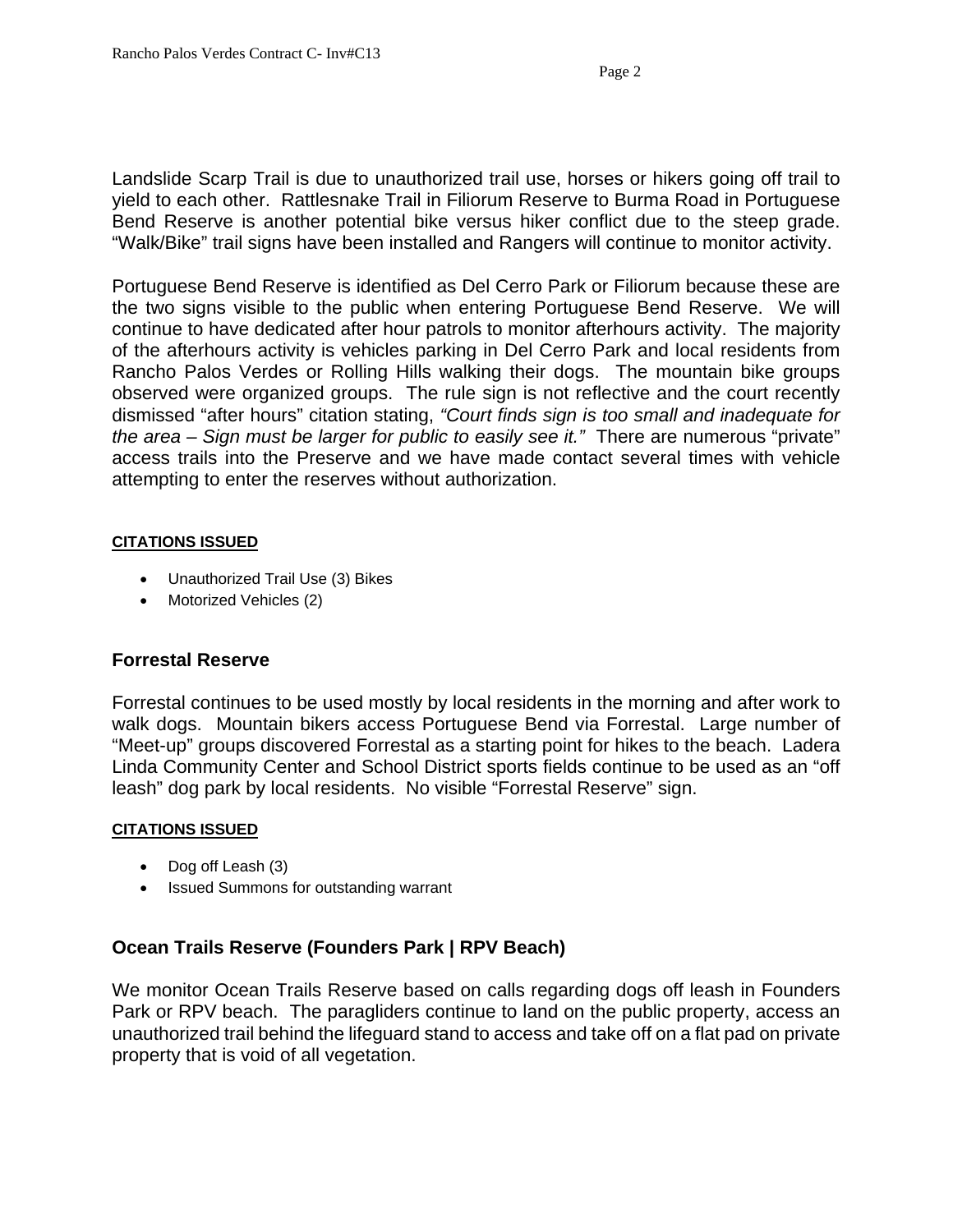Landslide Scarp Trail is due to unauthorized trail use, horses or hikers going off trail to yield to each other. Rattlesnake Trail in Filiorum Reserve to Burma Road in Portuguese Bend Reserve is another potential bike versus hiker conflict due to the steep grade. "Walk/Bike" trail signs have been installed and Rangers will continue to monitor activity.

Portuguese Bend Reserve is identified as Del Cerro Park or Filiorum because these are the two signs visible to the public when entering Portuguese Bend Reserve. We will continue to have dedicated after hour patrols to monitor afterhours activity. The majority of the afterhours activity is vehicles parking in Del Cerro Park and local residents from Rancho Palos Verdes or Rolling Hills walking their dogs. The mountain bike groups observed were organized groups. The rule sign is not reflective and the court recently dismissed "after hours" citation stating, *"Court finds sign is too small and inadequate for the area – Sign must be larger for public to easily see it."* There are numerous "private" access trails into the Preserve and we have made contact several times with vehicle attempting to enter the reserves without authorization.

#### **CITATIONS ISSUED**

- Unauthorized Trail Use (3) Bikes
- Motorized Vehicles (2)

## **Forrestal Reserve**

Forrestal continues to be used mostly by local residents in the morning and after work to walk dogs. Mountain bikers access Portuguese Bend via Forrestal. Large number of "Meet-up" groups discovered Forrestal as a starting point for hikes to the beach. Ladera Linda Community Center and School District sports fields continue to be used as an "off leash" dog park by local residents. No visible "Forrestal Reserve" sign.

#### **CITATIONS ISSUED**

- Dog off Leash (3)
- Issued Summons for outstanding warrant

## **Ocean Trails Reserve (Founders Park | RPV Beach)**

We monitor Ocean Trails Reserve based on calls regarding dogs off leash in Founders Park or RPV beach. The paragliders continue to land on the public property, access an unauthorized trail behind the lifeguard stand to access and take off on a flat pad on private property that is void of all vegetation.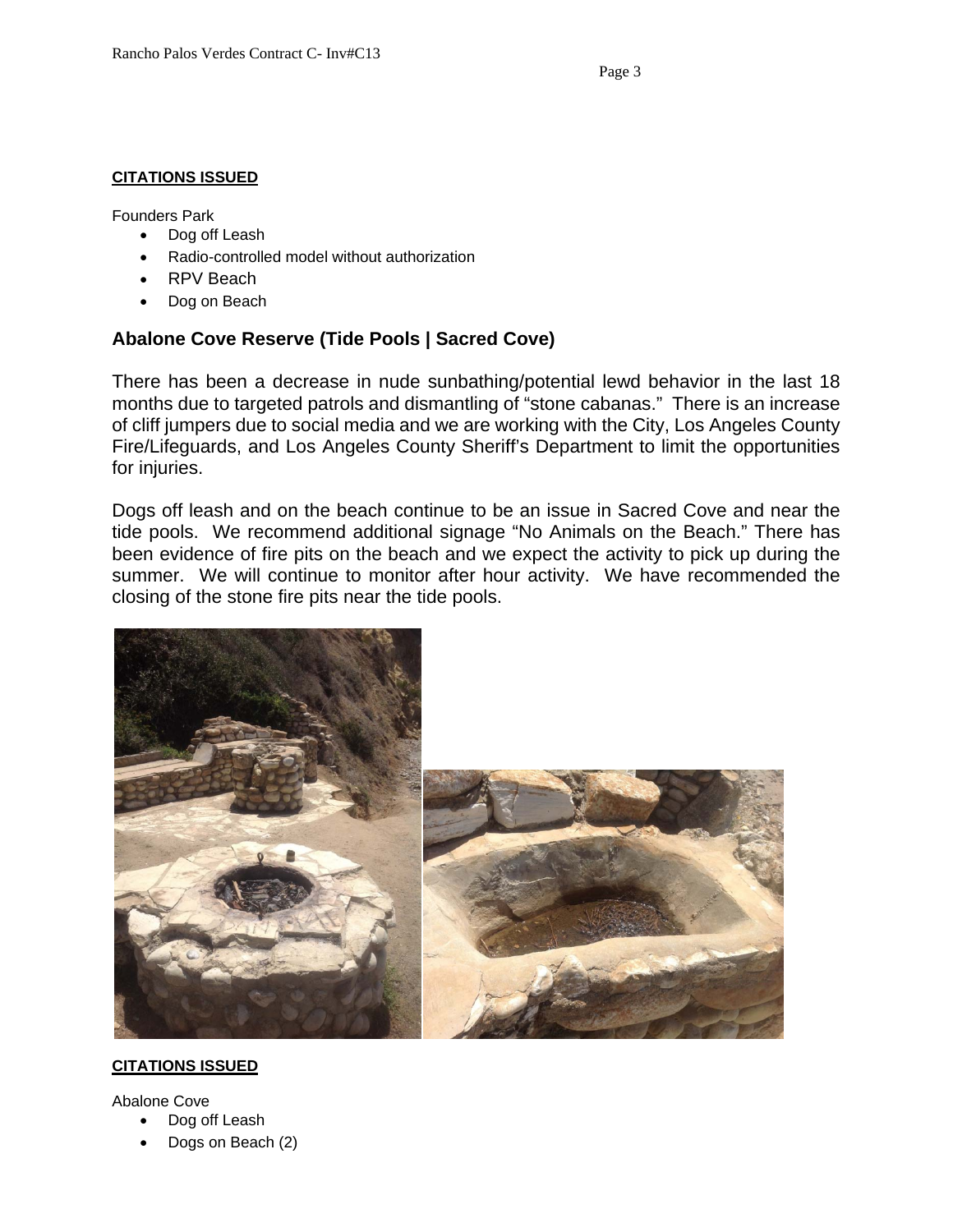#### **CITATIONS ISSUED**

Founders Park

- Dog off Leash
- Radio-controlled model without authorization
- RPV Beach
- Dog on Beach

# **Abalone Cove Reserve (Tide Pools | Sacred Cove)**

There has been a decrease in nude sunbathing/potential lewd behavior in the last 18 months due to targeted patrols and dismantling of "stone cabanas." There is an increase of cliff jumpers due to social media and we are working with the City, Los Angeles County Fire/Lifeguards, and Los Angeles County Sheriff's Department to limit the opportunities for injuries.

Dogs off leash and on the beach continue to be an issue in Sacred Cove and near the tide pools. We recommend additional signage "No Animals on the Beach." There has been evidence of fire pits on the beach and we expect the activity to pick up during the summer. We will continue to monitor after hour activity. We have recommended the closing of the stone fire pits near the tide pools.



#### **CITATIONS ISSUED**

Abalone Cove

- Dog off Leash
- Dogs on Beach (2)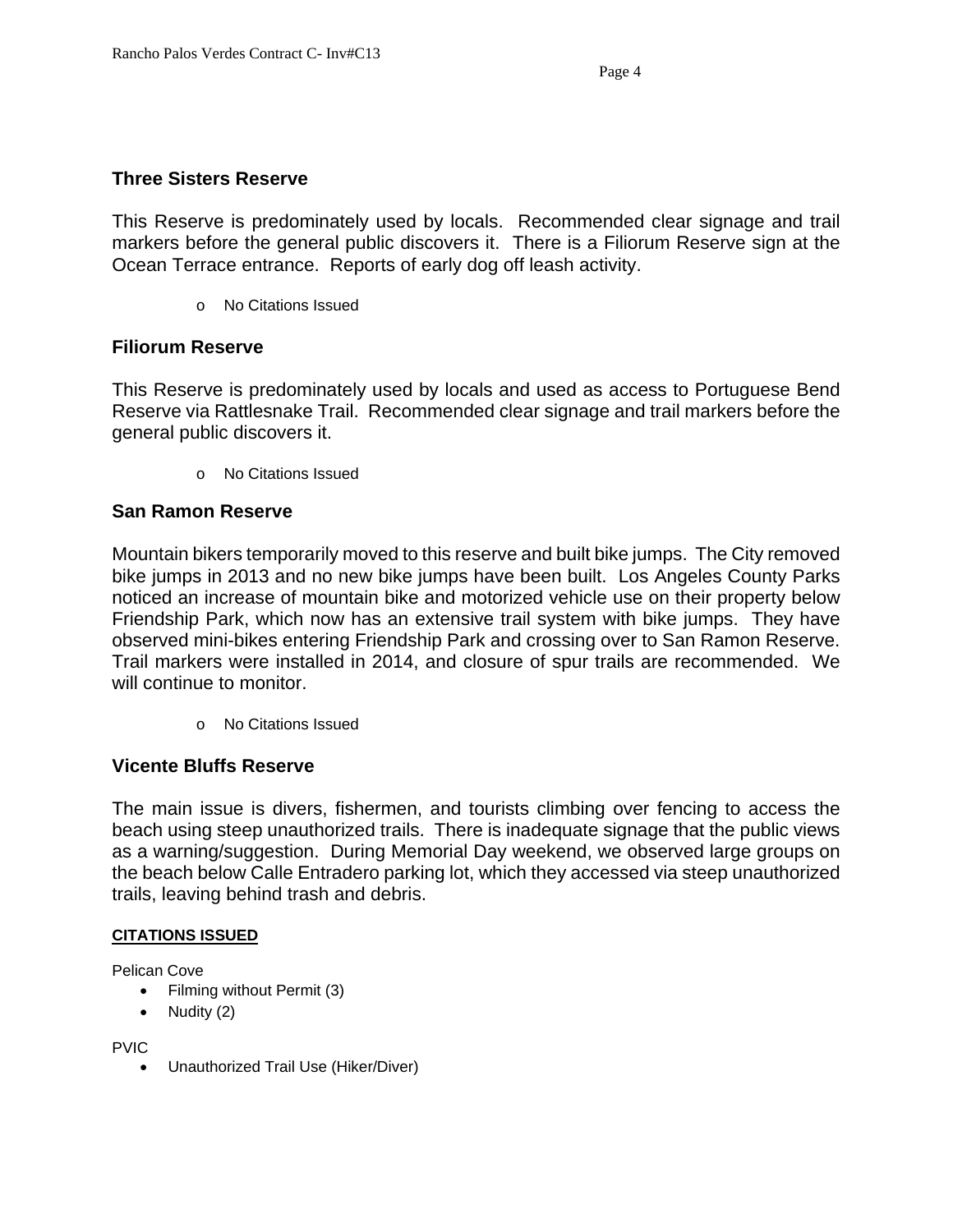## **Three Sisters Reserve**

This Reserve is predominately used by locals. Recommended clear signage and trail markers before the general public discovers it. There is a Filiorum Reserve sign at the Ocean Terrace entrance. Reports of early dog off leash activity.

o No Citations Issued

## **Filiorum Reserve**

This Reserve is predominately used by locals and used as access to Portuguese Bend Reserve via Rattlesnake Trail. Recommended clear signage and trail markers before the general public discovers it.

o No Citations Issued

## **San Ramon Reserve**

Mountain bikers temporarily moved to this reserve and built bike jumps. The City removed bike jumps in 2013 and no new bike jumps have been built. Los Angeles County Parks noticed an increase of mountain bike and motorized vehicle use on their property below Friendship Park, which now has an extensive trail system with bike jumps. They have observed mini-bikes entering Friendship Park and crossing over to San Ramon Reserve. Trail markers were installed in 2014, and closure of spur trails are recommended. We will continue to monitor.

o No Citations Issued

## **Vicente Bluffs Reserve**

The main issue is divers, fishermen, and tourists climbing over fencing to access the beach using steep unauthorized trails. There is inadequate signage that the public views as a warning/suggestion. During Memorial Day weekend, we observed large groups on the beach below Calle Entradero parking lot, which they accessed via steep unauthorized trails, leaving behind trash and debris.

#### **CITATIONS ISSUED**

Pelican Cove

- Filming without Permit (3)
- $\bullet$  Nudity (2)

PVIC

Unauthorized Trail Use (Hiker/Diver)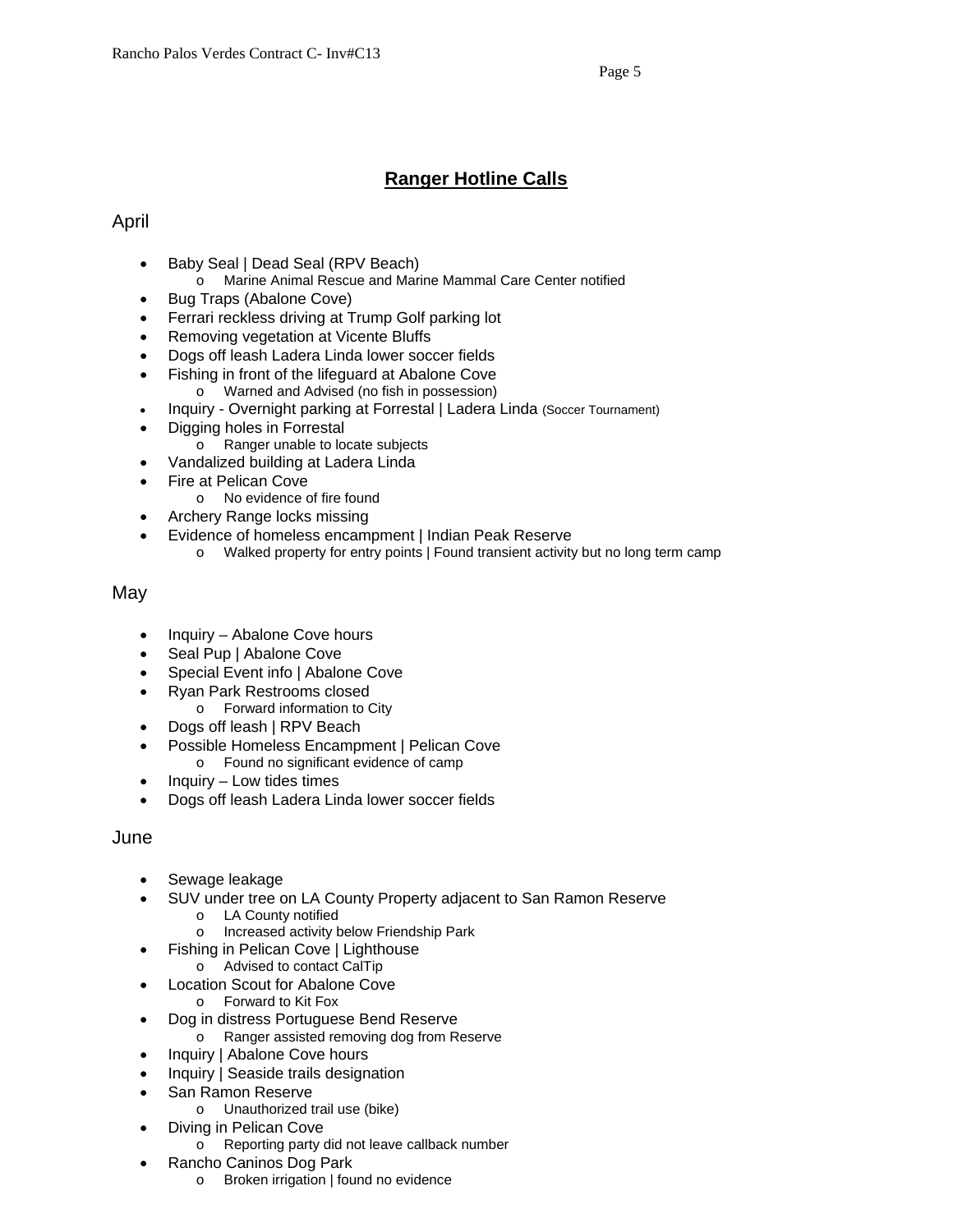# **Ranger Hotline Calls**

## April

- Baby Seal | Dead Seal (RPV Beach)
	- o Marine Animal Rescue and Marine Mammal Care Center notified
- Bug Traps (Abalone Cove)
- Ferrari reckless driving at Trump Golf parking lot
- Removing vegetation at Vicente Bluffs
- Dogs off leash Ladera Linda lower soccer fields
- Fishing in front of the lifeguard at Abalone Cove
	- o Warned and Advised (no fish in possession)
- Inquiry Overnight parking at Forrestal | Ladera Linda (Soccer Tournament)
- Digging holes in Forrestal
	- o Ranger unable to locate subjects
- Vandalized building at Ladera Linda
- Fire at Pelican Cove
	- o No evidence of fire found
- Archery Range locks missing
- Evidence of homeless encampment | Indian Peak Reserve
	- o Walked property for entry points | Found transient activity but no long term camp

#### May

- $\bullet$  Inquiry Abalone Cove hours
- Seal Pup | Abalone Cove
- Special Event info | Abalone Cove
- Ryan Park Restrooms closed
	- o Forward information to City
- Dogs off leash | RPV Beach
- Possible Homeless Encampment | Pelican Cove o Found no significant evidence of camp
- Inquiry Low tides times
- Dogs off leash Ladera Linda lower soccer fields

#### June

- Sewage leakage
- SUV under tree on LA County Property adjacent to San Ramon Reserve
	- o LA County notified
	- o Increased activity below Friendship Park
	- Fishing in Pelican Cove | Lighthouse
		- o Advised to contact CalTip
- Location Scout for Abalone Cove
	- o Forward to Kit Fox
- Dog in distress Portuguese Bend Reserve
	- o Ranger assisted removing dog from Reserve
- Inquiry | Abalone Cove hours
- Inquiry | Seaside trails designation
- San Ramon Reserve
	- o Unauthorized trail use (bike)
- Diving in Pelican Cove
	- o Reporting party did not leave callback number
- Rancho Caninos Dog Park
	- o Broken irrigation | found no evidence